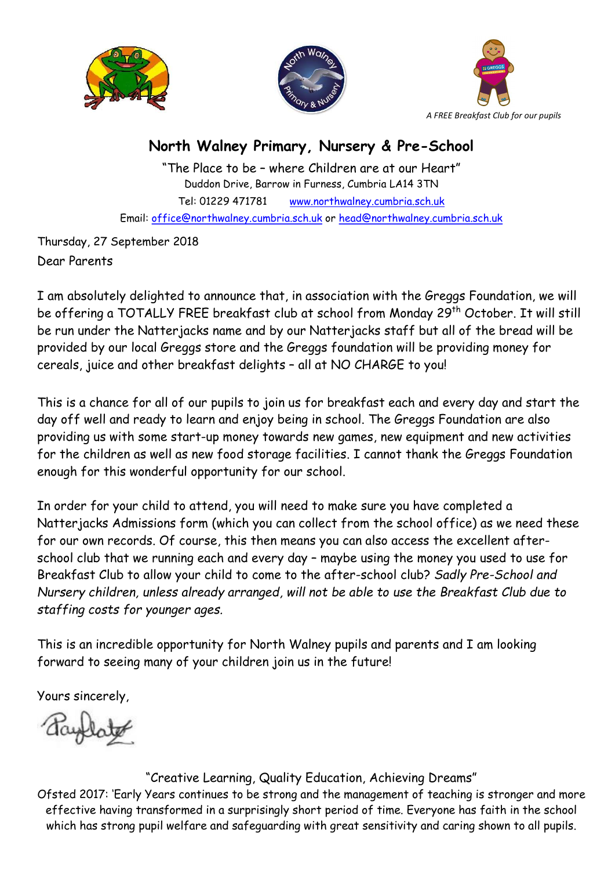





## North Walney Primary, Nursery & Pre-School

"The Place to be – where Children are at our Heart" Duddon Drive, Barrow in Furness, Cumbria LA14 3TN Tel: 01229 471781 www.northwalney.cumbria.sch.uk Email: office@northwalney.cumbria.sch.uk or head@northwalney.cumbria.sch.uk

Thursday, 27 September 2018 Dear Parents

I am absolutely delighted to announce that, in association with the Greggs Foundation, we will be offering a TOTALLY FREE breakfast club at school from Monday 29th October. It will still be run under the Natterjacks name and by our Natterjacks staff but all of the bread will be provided by our local Greggs store and the Greggs foundation will be providing money for cereals, juice and other breakfast delights – all at NO CHARGE to you!

This is a chance for all of our pupils to join us for breakfast each and every day and start the day off well and ready to learn and enjoy being in school. The Greggs Foundation are also providing us with some start-up money towards new games, new equipment and new activities for the children as well as new food storage facilities. I cannot thank the Greggs Foundation enough for this wonderful opportunity for our school.

In order for your child to attend, you will need to make sure you have completed a Natterjacks Admissions form (which you can collect from the school office) as we need these for our own records. Of course, this then means you can also access the excellent afterschool club that we running each and every day – maybe using the money you used to use for Breakfast Club to allow your child to come to the after-school club? Sadly Pre-School and Nursery children, unless already arranged, will not be able to use the Breakfast Club due to staffing costs for younger ages.

This is an incredible opportunity for North Walney pupils and parents and I am looking forward to seeing many of your children join us in the future!

Yours sincerely,

"Creative Learning, Quality Education, Achieving Dreams"

Ofsted 2017: 'Early Years continues to be strong and the management of teaching is stronger and more effective having transformed in a surprisingly short period of time. Everyone has faith in the school which has strong pupil welfare and safeguarding with great sensitivity and caring shown to all pupils.